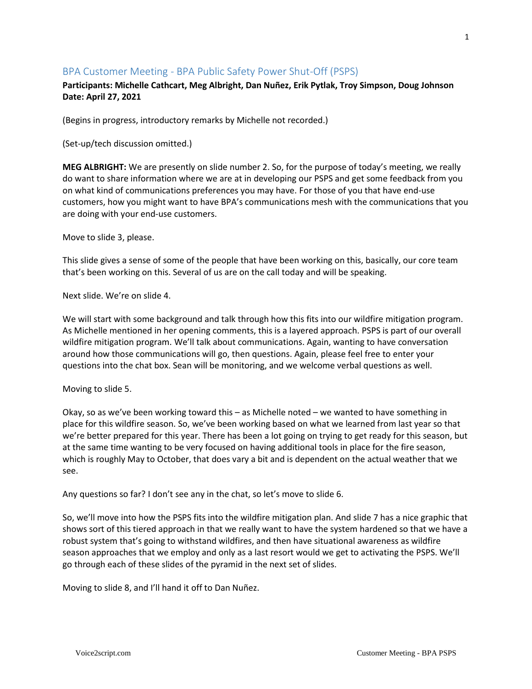# BPA Customer Meeting - BPA Public Safety Power Shut-Off (PSPS)

# **Participants: Michelle Cathcart, Meg Albright, Dan Nuñez, Erik Pytlak, Troy Simpson, Doug Johnson Date: April 27, 2021**

(Begins in progress, introductory remarks by Michelle not recorded.)

(Set-up/tech discussion omitted.)

**MEG ALBRIGHT:** We are presently on slide number 2. So, for the purpose of today's meeting, we really do want to share information where we are at in developing our PSPS and get some feedback from you on what kind of communications preferences you may have. For those of you that have end-use customers, how you might want to have BPA's communications mesh with the communications that you are doing with your end-use customers.

Move to slide 3, please.

This slide gives a sense of some of the people that have been working on this, basically, our core team that's been working on this. Several of us are on the call today and will be speaking.

Next slide. We're on slide 4.

We will start with some background and talk through how this fits into our wildfire mitigation program. As Michelle mentioned in her opening comments, this is a layered approach. PSPS is part of our overall wildfire mitigation program. We'll talk about communications. Again, wanting to have conversation around how those communications will go, then questions. Again, please feel free to enter your questions into the chat box. Sean will be monitoring, and we welcome verbal questions as well.

Moving to slide 5.

Okay, so as we've been working toward this – as Michelle noted – we wanted to have something in place for this wildfire season. So, we've been working based on what we learned from last year so that we're better prepared for this year. There has been a lot going on trying to get ready for this season, but at the same time wanting to be very focused on having additional tools in place for the fire season, which is roughly May to October, that does vary a bit and is dependent on the actual weather that we see.

Any questions so far? I don't see any in the chat, so let's move to slide 6.

So, we'll move into how the PSPS fits into the wildfire mitigation plan. And slide 7 has a nice graphic that shows sort of this tiered approach in that we really want to have the system hardened so that we have a robust system that's going to withstand wildfires, and then have situational awareness as wildfire season approaches that we employ and only as a last resort would we get to activating the PSPS. We'll go through each of these slides of the pyramid in the next set of slides.

Moving to slide 8, and I'll hand it off to Dan Nuñez.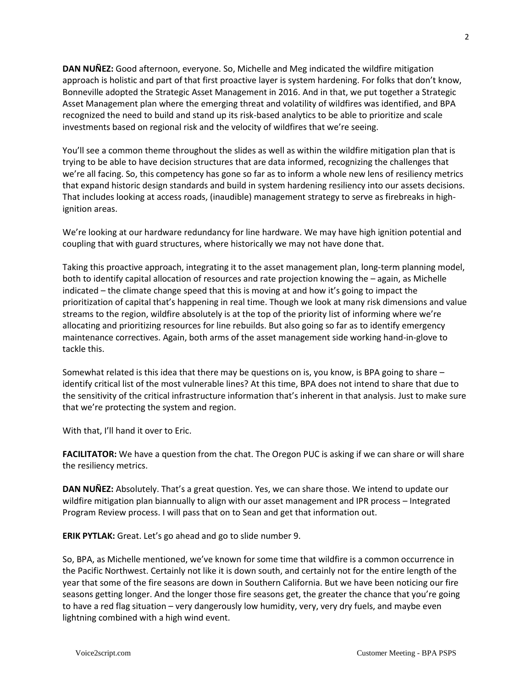**DAN NUÑEZ:** Good afternoon, everyone. So, Michelle and Meg indicated the wildfire mitigation approach is holistic and part of that first proactive layer is system hardening. For folks that don't know, Bonneville adopted the Strategic Asset Management in 2016. And in that, we put together a Strategic Asset Management plan where the emerging threat and volatility of wildfires was identified, and BPA recognized the need to build and stand up its risk-based analytics to be able to prioritize and scale investments based on regional risk and the velocity of wildfires that we're seeing.

You'll see a common theme throughout the slides as well as within the wildfire mitigation plan that is trying to be able to have decision structures that are data informed, recognizing the challenges that we're all facing. So, this competency has gone so far as to inform a whole new lens of resiliency metrics that expand historic design standards and build in system hardening resiliency into our assets decisions. That includes looking at access roads, (inaudible) management strategy to serve as firebreaks in highignition areas.

We're looking at our hardware redundancy for line hardware. We may have high ignition potential and coupling that with guard structures, where historically we may not have done that.

Taking this proactive approach, integrating it to the asset management plan, long-term planning model, both to identify capital allocation of resources and rate projection knowing the – again, as Michelle indicated – the climate change speed that this is moving at and how it's going to impact the prioritization of capital that's happening in real time. Though we look at many risk dimensions and value streams to the region, wildfire absolutely is at the top of the priority list of informing where we're allocating and prioritizing resources for line rebuilds. But also going so far as to identify emergency maintenance correctives. Again, both arms of the asset management side working hand-in-glove to tackle this.

Somewhat related is this idea that there may be questions on is, you know, is BPA going to share – identify critical list of the most vulnerable lines? At this time, BPA does not intend to share that due to the sensitivity of the critical infrastructure information that's inherent in that analysis. Just to make sure that we're protecting the system and region.

With that, I'll hand it over to Eric.

**FACILITATOR:** We have a question from the chat. The Oregon PUC is asking if we can share or will share the resiliency metrics.

**DAN NUÑEZ:** Absolutely. That's a great question. Yes, we can share those. We intend to update our wildfire mitigation plan biannually to align with our asset management and IPR process – Integrated Program Review process. I will pass that on to Sean and get that information out.

**ERIK PYTLAK:** Great. Let's go ahead and go to slide number 9.

So, BPA, as Michelle mentioned, we've known for some time that wildfire is a common occurrence in the Pacific Northwest. Certainly not like it is down south, and certainly not for the entire length of the year that some of the fire seasons are down in Southern California. But we have been noticing our fire seasons getting longer. And the longer those fire seasons get, the greater the chance that you're going to have a red flag situation – very dangerously low humidity, very, very dry fuels, and maybe even lightning combined with a high wind event.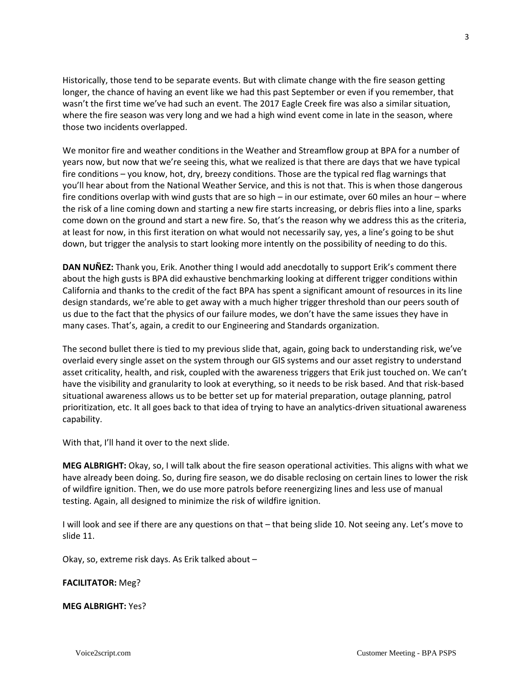Historically, those tend to be separate events. But with climate change with the fire season getting longer, the chance of having an event like we had this past September or even if you remember, that wasn't the first time we've had such an event. The 2017 Eagle Creek fire was also a similar situation, where the fire season was very long and we had a high wind event come in late in the season, where those two incidents overlapped.

We monitor fire and weather conditions in the Weather and Streamflow group at BPA for a number of years now, but now that we're seeing this, what we realized is that there are days that we have typical fire conditions – you know, hot, dry, breezy conditions. Those are the typical red flag warnings that you'll hear about from the National Weather Service, and this is not that. This is when those dangerous fire conditions overlap with wind gusts that are so high – in our estimate, over 60 miles an hour – where the risk of a line coming down and starting a new fire starts increasing, or debris flies into a line, sparks come down on the ground and start a new fire. So, that's the reason why we address this as the criteria, at least for now, in this first iteration on what would not necessarily say, yes, a line's going to be shut down, but trigger the analysis to start looking more intently on the possibility of needing to do this.

**DAN NUÑEZ:** Thank you, Erik. Another thing I would add anecdotally to support Erik's comment there about the high gusts is BPA did exhaustive benchmarking looking at different trigger conditions within California and thanks to the credit of the fact BPA has spent a significant amount of resources in its line design standards, we're able to get away with a much higher trigger threshold than our peers south of us due to the fact that the physics of our failure modes, we don't have the same issues they have in many cases. That's, again, a credit to our Engineering and Standards organization.

The second bullet there is tied to my previous slide that, again, going back to understanding risk, we've overlaid every single asset on the system through our GIS systems and our asset registry to understand asset criticality, health, and risk, coupled with the awareness triggers that Erik just touched on. We can't have the visibility and granularity to look at everything, so it needs to be risk based. And that risk-based situational awareness allows us to be better set up for material preparation, outage planning, patrol prioritization, etc. It all goes back to that idea of trying to have an analytics-driven situational awareness capability.

With that, I'll hand it over to the next slide.

**MEG ALBRIGHT:** Okay, so, I will talk about the fire season operational activities. This aligns with what we have already been doing. So, during fire season, we do disable reclosing on certain lines to lower the risk of wildfire ignition. Then, we do use more patrols before reenergizing lines and less use of manual testing. Again, all designed to minimize the risk of wildfire ignition.

I will look and see if there are any questions on that – that being slide 10. Not seeing any. Let's move to slide 11.

Okay, so, extreme risk days. As Erik talked about –

### **FACILITATOR:** Meg?

#### **MEG ALBRIGHT:** Yes?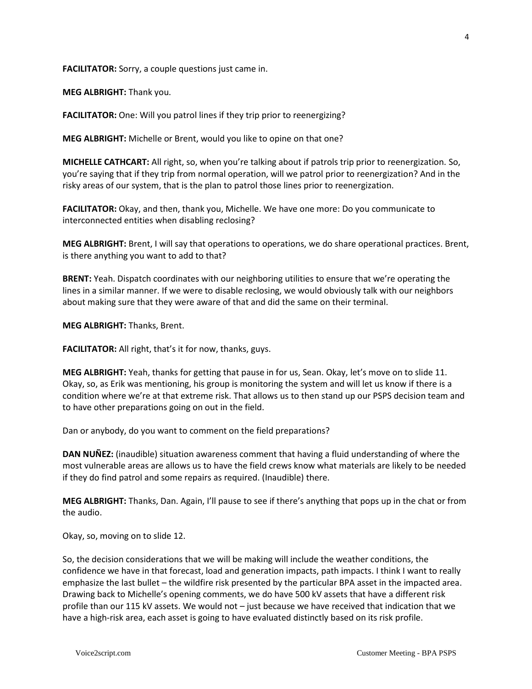**FACILITATOR:** Sorry, a couple questions just came in.

**MEG ALBRIGHT:** Thank you.

**FACILITATOR:** One: Will you patrol lines if they trip prior to reenergizing?

**MEG ALBRIGHT:** Michelle or Brent, would you like to opine on that one?

**MICHELLE CATHCART:** All right, so, when you're talking about if patrols trip prior to reenergization. So, you're saying that if they trip from normal operation, will we patrol prior to reenergization? And in the risky areas of our system, that is the plan to patrol those lines prior to reenergization.

**FACILITATOR:** Okay, and then, thank you, Michelle. We have one more: Do you communicate to interconnected entities when disabling reclosing?

**MEG ALBRIGHT:** Brent, I will say that operations to operations, we do share operational practices. Brent, is there anything you want to add to that?

**BRENT:** Yeah. Dispatch coordinates with our neighboring utilities to ensure that we're operating the lines in a similar manner. If we were to disable reclosing, we would obviously talk with our neighbors about making sure that they were aware of that and did the same on their terminal.

**MEG ALBRIGHT:** Thanks, Brent.

**FACILITATOR:** All right, that's it for now, thanks, guys.

**MEG ALBRIGHT:** Yeah, thanks for getting that pause in for us, Sean. Okay, let's move on to slide 11. Okay, so, as Erik was mentioning, his group is monitoring the system and will let us know if there is a condition where we're at that extreme risk. That allows us to then stand up our PSPS decision team and to have other preparations going on out in the field.

Dan or anybody, do you want to comment on the field preparations?

**DAN NUÑEZ:** (inaudible) situation awareness comment that having a fluid understanding of where the most vulnerable areas are allows us to have the field crews know what materials are likely to be needed if they do find patrol and some repairs as required. (Inaudible) there.

**MEG ALBRIGHT:** Thanks, Dan. Again, I'll pause to see if there's anything that pops up in the chat or from the audio.

Okay, so, moving on to slide 12.

So, the decision considerations that we will be making will include the weather conditions, the confidence we have in that forecast, load and generation impacts, path impacts. I think I want to really emphasize the last bullet – the wildfire risk presented by the particular BPA asset in the impacted area. Drawing back to Michelle's opening comments, we do have 500 kV assets that have a different risk profile than our 115 kV assets. We would not – just because we have received that indication that we have a high-risk area, each asset is going to have evaluated distinctly based on its risk profile.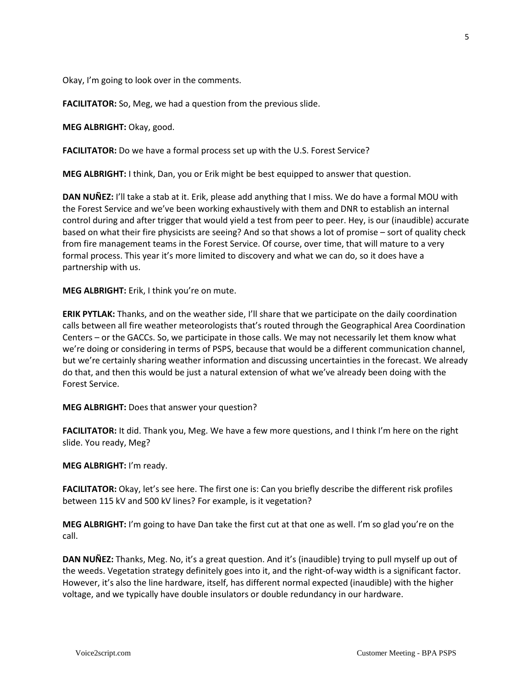Okay, I'm going to look over in the comments.

**FACILITATOR:** So, Meg, we had a question from the previous slide.

**MEG ALBRIGHT:** Okay, good.

**FACILITATOR:** Do we have a formal process set up with the U.S. Forest Service?

**MEG ALBRIGHT:** I think, Dan, you or Erik might be best equipped to answer that question.

**DAN NUÑEZ:** I'll take a stab at it. Erik, please add anything that I miss. We do have a formal MOU with the Forest Service and we've been working exhaustively with them and DNR to establish an internal control during and after trigger that would yield a test from peer to peer. Hey, is our (inaudible) accurate based on what their fire physicists are seeing? And so that shows a lot of promise – sort of quality check from fire management teams in the Forest Service. Of course, over time, that will mature to a very formal process. This year it's more limited to discovery and what we can do, so it does have a partnership with us.

**MEG ALBRIGHT:** Erik, I think you're on mute.

**ERIK PYTLAK:** Thanks, and on the weather side, I'll share that we participate on the daily coordination calls between all fire weather meteorologists that's routed through the Geographical Area Coordination Centers – or the GACCs. So, we participate in those calls. We may not necessarily let them know what we're doing or considering in terms of PSPS, because that would be a different communication channel, but we're certainly sharing weather information and discussing uncertainties in the forecast. We already do that, and then this would be just a natural extension of what we've already been doing with the Forest Service.

**MEG ALBRIGHT:** Does that answer your question?

**FACILITATOR:** It did. Thank you, Meg. We have a few more questions, and I think I'm here on the right slide. You ready, Meg?

**MEG ALBRIGHT:** I'm ready.

**FACILITATOR:** Okay, let's see here. The first one is: Can you briefly describe the different risk profiles between 115 kV and 500 kV lines? For example, is it vegetation?

**MEG ALBRIGHT:** I'm going to have Dan take the first cut at that one as well. I'm so glad you're on the call.

**DAN NUÑEZ:** Thanks, Meg. No, it's a great question. And it's (inaudible) trying to pull myself up out of the weeds. Vegetation strategy definitely goes into it, and the right-of-way width is a significant factor. However, it's also the line hardware, itself, has different normal expected (inaudible) with the higher voltage, and we typically have double insulators or double redundancy in our hardware.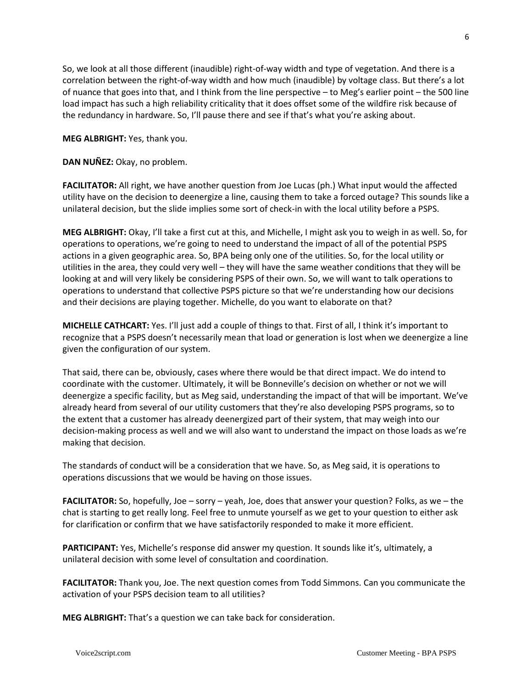So, we look at all those different (inaudible) right-of-way width and type of vegetation. And there is a correlation between the right-of-way width and how much (inaudible) by voltage class. But there's a lot of nuance that goes into that, and I think from the line perspective – to Meg's earlier point – the 500 line load impact has such a high reliability criticality that it does offset some of the wildfire risk because of the redundancy in hardware. So, I'll pause there and see if that's what you're asking about.

**MEG ALBRIGHT:** Yes, thank you.

**DAN NUÑEZ:** Okay, no problem.

**FACILITATOR:** All right, we have another question from Joe Lucas (ph.) What input would the affected utility have on the decision to deenergize a line, causing them to take a forced outage? This sounds like a unilateral decision, but the slide implies some sort of check-in with the local utility before a PSPS.

**MEG ALBRIGHT:** Okay, I'll take a first cut at this, and Michelle, I might ask you to weigh in as well. So, for operations to operations, we're going to need to understand the impact of all of the potential PSPS actions in a given geographic area. So, BPA being only one of the utilities. So, for the local utility or utilities in the area, they could very well – they will have the same weather conditions that they will be looking at and will very likely be considering PSPS of their own. So, we will want to talk operations to operations to understand that collective PSPS picture so that we're understanding how our decisions and their decisions are playing together. Michelle, do you want to elaborate on that?

**MICHELLE CATHCART:** Yes. I'll just add a couple of things to that. First of all, I think it's important to recognize that a PSPS doesn't necessarily mean that load or generation is lost when we deenergize a line given the configuration of our system.

That said, there can be, obviously, cases where there would be that direct impact. We do intend to coordinate with the customer. Ultimately, it will be Bonneville's decision on whether or not we will deenergize a specific facility, but as Meg said, understanding the impact of that will be important. We've already heard from several of our utility customers that they're also developing PSPS programs, so to the extent that a customer has already deenergized part of their system, that may weigh into our decision-making process as well and we will also want to understand the impact on those loads as we're making that decision.

The standards of conduct will be a consideration that we have. So, as Meg said, it is operations to operations discussions that we would be having on those issues.

**FACILITATOR:** So, hopefully, Joe – sorry – yeah, Joe, does that answer your question? Folks, as we – the chat is starting to get really long. Feel free to unmute yourself as we get to your question to either ask for clarification or confirm that we have satisfactorily responded to make it more efficient.

**PARTICIPANT:** Yes, Michelle's response did answer my question. It sounds like it's, ultimately, a unilateral decision with some level of consultation and coordination.

**FACILITATOR:** Thank you, Joe. The next question comes from Todd Simmons. Can you communicate the activation of your PSPS decision team to all utilities?

**MEG ALBRIGHT:** That's a question we can take back for consideration.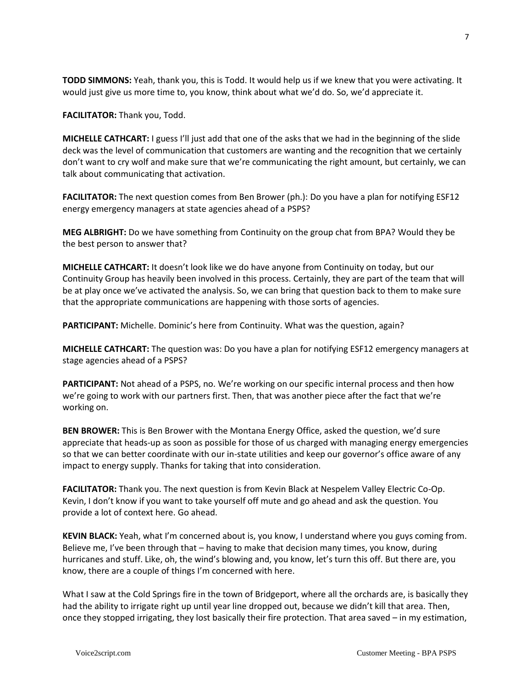**TODD SIMMONS:** Yeah, thank you, this is Todd. It would help us if we knew that you were activating. It would just give us more time to, you know, think about what we'd do. So, we'd appreciate it.

**FACILITATOR:** Thank you, Todd.

**MICHELLE CATHCART:** I guess I'll just add that one of the asks that we had in the beginning of the slide deck was the level of communication that customers are wanting and the recognition that we certainly don't want to cry wolf and make sure that we're communicating the right amount, but certainly, we can talk about communicating that activation.

**FACILITATOR:** The next question comes from Ben Brower (ph.): Do you have a plan for notifying ESF12 energy emergency managers at state agencies ahead of a PSPS?

**MEG ALBRIGHT:** Do we have something from Continuity on the group chat from BPA? Would they be the best person to answer that?

**MICHELLE CATHCART:** It doesn't look like we do have anyone from Continuity on today, but our Continuity Group has heavily been involved in this process. Certainly, they are part of the team that will be at play once we've activated the analysis. So, we can bring that question back to them to make sure that the appropriate communications are happening with those sorts of agencies.

**PARTICIPANT:** Michelle. Dominic's here from Continuity. What was the question, again?

**MICHELLE CATHCART:** The question was: Do you have a plan for notifying ESF12 emergency managers at stage agencies ahead of a PSPS?

**PARTICIPANT:** Not ahead of a PSPS, no. We're working on our specific internal process and then how we're going to work with our partners first. Then, that was another piece after the fact that we're working on.

**BEN BROWER:** This is Ben Brower with the Montana Energy Office, asked the question, we'd sure appreciate that heads-up as soon as possible for those of us charged with managing energy emergencies so that we can better coordinate with our in-state utilities and keep our governor's office aware of any impact to energy supply. Thanks for taking that into consideration.

**FACILITATOR:** Thank you. The next question is from Kevin Black at Nespelem Valley Electric Co-Op. Kevin, I don't know if you want to take yourself off mute and go ahead and ask the question. You provide a lot of context here. Go ahead.

**KEVIN BLACK:** Yeah, what I'm concerned about is, you know, I understand where you guys coming from. Believe me, I've been through that – having to make that decision many times, you know, during hurricanes and stuff. Like, oh, the wind's blowing and, you know, let's turn this off. But there are, you know, there are a couple of things I'm concerned with here.

What I saw at the Cold Springs fire in the town of Bridgeport, where all the orchards are, is basically they had the ability to irrigate right up until year line dropped out, because we didn't kill that area. Then, once they stopped irrigating, they lost basically their fire protection. That area saved – in my estimation,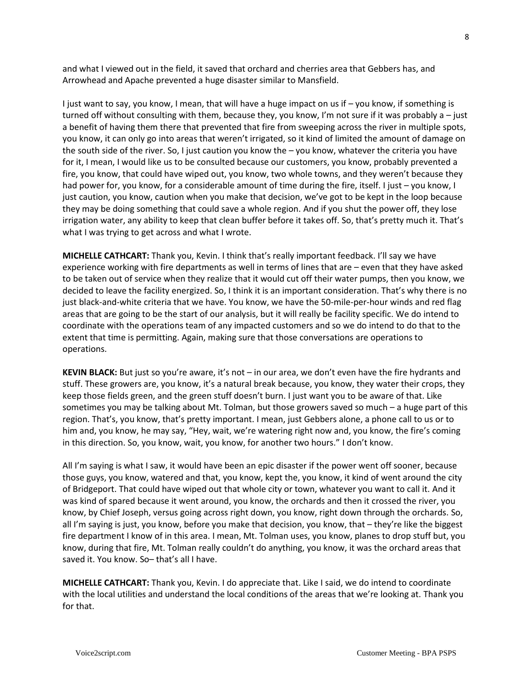and what I viewed out in the field, it saved that orchard and cherries area that Gebbers has, and Arrowhead and Apache prevented a huge disaster similar to Mansfield.

I just want to say, you know, I mean, that will have a huge impact on us if – you know, if something is turned off without consulting with them, because they, you know, I'm not sure if it was probably a – just a benefit of having them there that prevented that fire from sweeping across the river in multiple spots, you know, it can only go into areas that weren't irrigated, so it kind of limited the amount of damage on the south side of the river. So, I just caution you know the – you know, whatever the criteria you have for it, I mean, I would like us to be consulted because our customers, you know, probably prevented a fire, you know, that could have wiped out, you know, two whole towns, and they weren't because they had power for, you know, for a considerable amount of time during the fire, itself. I just – you know, I just caution, you know, caution when you make that decision, we've got to be kept in the loop because they may be doing something that could save a whole region. And if you shut the power off, they lose irrigation water, any ability to keep that clean buffer before it takes off. So, that's pretty much it. That's what I was trying to get across and what I wrote.

**MICHELLE CATHCART:** Thank you, Kevin. I think that's really important feedback. I'll say we have experience working with fire departments as well in terms of lines that are – even that they have asked to be taken out of service when they realize that it would cut off their water pumps, then you know, we decided to leave the facility energized. So, I think it is an important consideration. That's why there is no just black-and-white criteria that we have. You know, we have the 50-mile-per-hour winds and red flag areas that are going to be the start of our analysis, but it will really be facility specific. We do intend to coordinate with the operations team of any impacted customers and so we do intend to do that to the extent that time is permitting. Again, making sure that those conversations are operations to operations.

**KEVIN BLACK:** But just so you're aware, it's not – in our area, we don't even have the fire hydrants and stuff. These growers are, you know, it's a natural break because, you know, they water their crops, they keep those fields green, and the green stuff doesn't burn. I just want you to be aware of that. Like sometimes you may be talking about Mt. Tolman, but those growers saved so much – a huge part of this region. That's, you know, that's pretty important. I mean, just Gebbers alone, a phone call to us or to him and, you know, he may say, "Hey, wait, we're watering right now and, you know, the fire's coming in this direction. So, you know, wait, you know, for another two hours." I don't know.

All I'm saying is what I saw, it would have been an epic disaster if the power went off sooner, because those guys, you know, watered and that, you know, kept the, you know, it kind of went around the city of Bridgeport. That could have wiped out that whole city or town, whatever you want to call it. And it was kind of spared because it went around, you know, the orchards and then it crossed the river, you know, by Chief Joseph, versus going across right down, you know, right down through the orchards. So, all I'm saying is just, you know, before you make that decision, you know, that – they're like the biggest fire department I know of in this area. I mean, Mt. Tolman uses, you know, planes to drop stuff but, you know, during that fire, Mt. Tolman really couldn't do anything, you know, it was the orchard areas that saved it. You know. So– that's all I have.

**MICHELLE CATHCART:** Thank you, Kevin. I do appreciate that. Like I said, we do intend to coordinate with the local utilities and understand the local conditions of the areas that we're looking at. Thank you for that.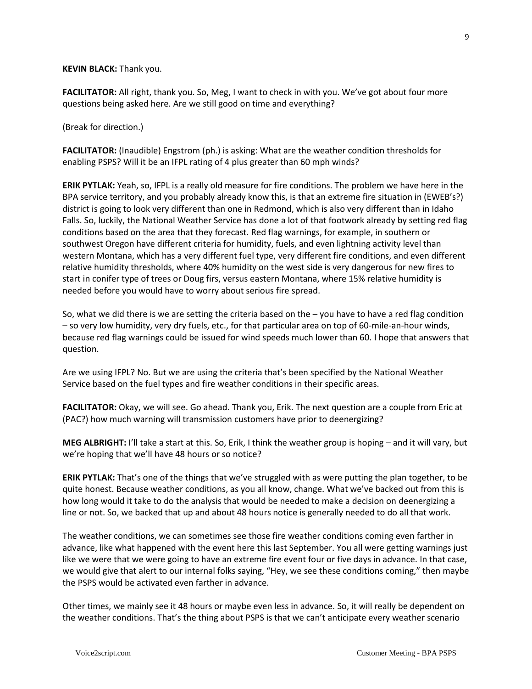### **KEVIN BLACK:** Thank you.

**FACILITATOR:** All right, thank you. So, Meg, I want to check in with you. We've got about four more questions being asked here. Are we still good on time and everything?

(Break for direction.)

**FACILITATOR:** (Inaudible) Engstrom (ph.) is asking: What are the weather condition thresholds for enabling PSPS? Will it be an IFPL rating of 4 plus greater than 60 mph winds?

**ERIK PYTLAK:** Yeah, so, IFPL is a really old measure for fire conditions. The problem we have here in the BPA service territory, and you probably already know this, is that an extreme fire situation in (EWEB's?) district is going to look very different than one in Redmond, which is also very different than in Idaho Falls. So, luckily, the National Weather Service has done a lot of that footwork already by setting red flag conditions based on the area that they forecast. Red flag warnings, for example, in southern or southwest Oregon have different criteria for humidity, fuels, and even lightning activity level than western Montana, which has a very different fuel type, very different fire conditions, and even different relative humidity thresholds, where 40% humidity on the west side is very dangerous for new fires to start in conifer type of trees or Doug firs, versus eastern Montana, where 15% relative humidity is needed before you would have to worry about serious fire spread.

So, what we did there is we are setting the criteria based on the – you have to have a red flag condition – so very low humidity, very dry fuels, etc., for that particular area on top of 60-mile-an-hour winds, because red flag warnings could be issued for wind speeds much lower than 60. I hope that answers that question.

Are we using IFPL? No. But we are using the criteria that's been specified by the National Weather Service based on the fuel types and fire weather conditions in their specific areas.

**FACILITATOR:** Okay, we will see. Go ahead. Thank you, Erik. The next question are a couple from Eric at (PAC?) how much warning will transmission customers have prior to deenergizing?

**MEG ALBRIGHT:** I'll take a start at this. So, Erik, I think the weather group is hoping – and it will vary, but we're hoping that we'll have 48 hours or so notice?

**ERIK PYTLAK:** That's one of the things that we've struggled with as were putting the plan together, to be quite honest. Because weather conditions, as you all know, change. What we've backed out from this is how long would it take to do the analysis that would be needed to make a decision on deenergizing a line or not. So, we backed that up and about 48 hours notice is generally needed to do all that work.

The weather conditions, we can sometimes see those fire weather conditions coming even farther in advance, like what happened with the event here this last September. You all were getting warnings just like we were that we were going to have an extreme fire event four or five days in advance. In that case, we would give that alert to our internal folks saying, "Hey, we see these conditions coming," then maybe the PSPS would be activated even farther in advance.

Other times, we mainly see it 48 hours or maybe even less in advance. So, it will really be dependent on the weather conditions. That's the thing about PSPS is that we can't anticipate every weather scenario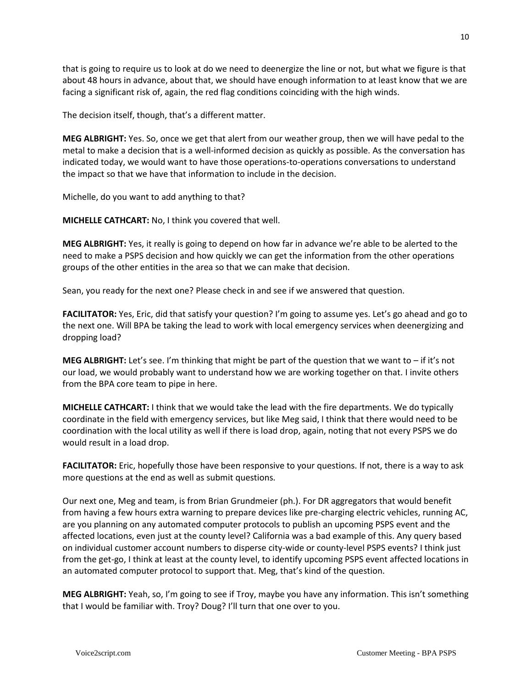that is going to require us to look at do we need to deenergize the line or not, but what we figure is that about 48 hours in advance, about that, we should have enough information to at least know that we are facing a significant risk of, again, the red flag conditions coinciding with the high winds.

The decision itself, though, that's a different matter.

**MEG ALBRIGHT:** Yes. So, once we get that alert from our weather group, then we will have pedal to the metal to make a decision that is a well-informed decision as quickly as possible. As the conversation has indicated today, we would want to have those operations-to-operations conversations to understand the impact so that we have that information to include in the decision.

Michelle, do you want to add anything to that?

**MICHELLE CATHCART:** No, I think you covered that well.

**MEG ALBRIGHT:** Yes, it really is going to depend on how far in advance we're able to be alerted to the need to make a PSPS decision and how quickly we can get the information from the other operations groups of the other entities in the area so that we can make that decision.

Sean, you ready for the next one? Please check in and see if we answered that question.

**FACILITATOR:** Yes, Eric, did that satisfy your question? I'm going to assume yes. Let's go ahead and go to the next one. Will BPA be taking the lead to work with local emergency services when deenergizing and dropping load?

**MEG ALBRIGHT:** Let's see. I'm thinking that might be part of the question that we want to – if it's not our load, we would probably want to understand how we are working together on that. I invite others from the BPA core team to pipe in here.

**MICHELLE CATHCART:** I think that we would take the lead with the fire departments. We do typically coordinate in the field with emergency services, but like Meg said, I think that there would need to be coordination with the local utility as well if there is load drop, again, noting that not every PSPS we do would result in a load drop.

**FACILITATOR:** Eric, hopefully those have been responsive to your questions. If not, there is a way to ask more questions at the end as well as submit questions.

Our next one, Meg and team, is from Brian Grundmeier (ph.). For DR aggregators that would benefit from having a few hours extra warning to prepare devices like pre-charging electric vehicles, running AC, are you planning on any automated computer protocols to publish an upcoming PSPS event and the affected locations, even just at the county level? California was a bad example of this. Any query based on individual customer account numbers to disperse city-wide or county-level PSPS events? I think just from the get-go, I think at least at the county level, to identify upcoming PSPS event affected locations in an automated computer protocol to support that. Meg, that's kind of the question.

**MEG ALBRIGHT:** Yeah, so, I'm going to see if Troy, maybe you have any information. This isn't something that I would be familiar with. Troy? Doug? I'll turn that one over to you.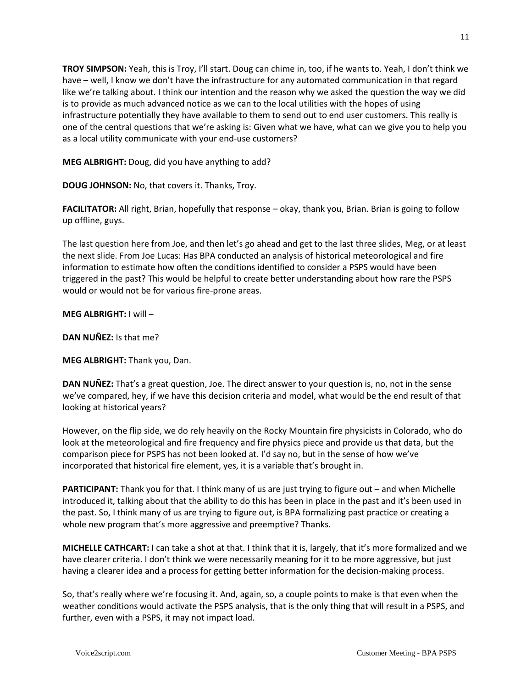**TROY SIMPSON:** Yeah, this is Troy, I'll start. Doug can chime in, too, if he wants to. Yeah, I don't think we have – well, I know we don't have the infrastructure for any automated communication in that regard like we're talking about. I think our intention and the reason why we asked the question the way we did is to provide as much advanced notice as we can to the local utilities with the hopes of using infrastructure potentially they have available to them to send out to end user customers. This really is one of the central questions that we're asking is: Given what we have, what can we give you to help you as a local utility communicate with your end-use customers?

**MEG ALBRIGHT:** Doug, did you have anything to add?

**DOUG JOHNSON:** No, that covers it. Thanks, Troy.

**FACILITATOR:** All right, Brian, hopefully that response – okay, thank you, Brian. Brian is going to follow up offline, guys.

The last question here from Joe, and then let's go ahead and get to the last three slides, Meg, or at least the next slide. From Joe Lucas: Has BPA conducted an analysis of historical meteorological and fire information to estimate how often the conditions identified to consider a PSPS would have been triggered in the past? This would be helpful to create better understanding about how rare the PSPS would or would not be for various fire-prone areas.

## **MEG ALBRIGHT:** I will –

**DAN NUÑEZ:** Is that me?

**MEG ALBRIGHT:** Thank you, Dan.

**DAN NUÑEZ:** That's a great question, Joe. The direct answer to your question is, no, not in the sense we've compared, hey, if we have this decision criteria and model, what would be the end result of that looking at historical years?

However, on the flip side, we do rely heavily on the Rocky Mountain fire physicists in Colorado, who do look at the meteorological and fire frequency and fire physics piece and provide us that data, but the comparison piece for PSPS has not been looked at. I'd say no, but in the sense of how we've incorporated that historical fire element, yes, it is a variable that's brought in.

**PARTICIPANT:** Thank you for that. I think many of us are just trying to figure out – and when Michelle introduced it, talking about that the ability to do this has been in place in the past and it's been used in the past. So, I think many of us are trying to figure out, is BPA formalizing past practice or creating a whole new program that's more aggressive and preemptive? Thanks.

**MICHELLE CATHCART:** I can take a shot at that. I think that it is, largely, that it's more formalized and we have clearer criteria. I don't think we were necessarily meaning for it to be more aggressive, but just having a clearer idea and a process for getting better information for the decision-making process.

So, that's really where we're focusing it. And, again, so, a couple points to make is that even when the weather conditions would activate the PSPS analysis, that is the only thing that will result in a PSPS, and further, even with a PSPS, it may not impact load.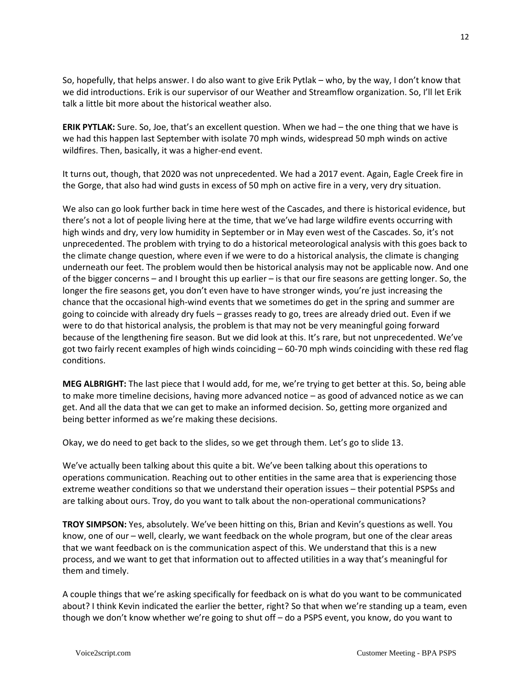So, hopefully, that helps answer. I do also want to give Erik Pytlak – who, by the way, I don't know that we did introductions. Erik is our supervisor of our Weather and Streamflow organization. So, I'll let Erik talk a little bit more about the historical weather also.

**ERIK PYTLAK:** Sure. So, Joe, that's an excellent question. When we had – the one thing that we have is we had this happen last September with isolate 70 mph winds, widespread 50 mph winds on active wildfires. Then, basically, it was a higher-end event.

It turns out, though, that 2020 was not unprecedented. We had a 2017 event. Again, Eagle Creek fire in the Gorge, that also had wind gusts in excess of 50 mph on active fire in a very, very dry situation.

We also can go look further back in time here west of the Cascades, and there is historical evidence, but there's not a lot of people living here at the time, that we've had large wildfire events occurring with high winds and dry, very low humidity in September or in May even west of the Cascades. So, it's not unprecedented. The problem with trying to do a historical meteorological analysis with this goes back to the climate change question, where even if we were to do a historical analysis, the climate is changing underneath our feet. The problem would then be historical analysis may not be applicable now. And one of the bigger concerns – and I brought this up earlier – is that our fire seasons are getting longer. So, the longer the fire seasons get, you don't even have to have stronger winds, you're just increasing the chance that the occasional high-wind events that we sometimes do get in the spring and summer are going to coincide with already dry fuels – grasses ready to go, trees are already dried out. Even if we were to do that historical analysis, the problem is that may not be very meaningful going forward because of the lengthening fire season. But we did look at this. It's rare, but not unprecedented. We've got two fairly recent examples of high winds coinciding – 60-70 mph winds coinciding with these red flag conditions.

**MEG ALBRIGHT:** The last piece that I would add, for me, we're trying to get better at this. So, being able to make more timeline decisions, having more advanced notice – as good of advanced notice as we can get. And all the data that we can get to make an informed decision. So, getting more organized and being better informed as we're making these decisions.

Okay, we do need to get back to the slides, so we get through them. Let's go to slide 13.

We've actually been talking about this quite a bit. We've been talking about this operations to operations communication. Reaching out to other entities in the same area that is experiencing those extreme weather conditions so that we understand their operation issues – their potential PSPSs and are talking about ours. Troy, do you want to talk about the non-operational communications?

**TROY SIMPSON:** Yes, absolutely. We've been hitting on this, Brian and Kevin's questions as well. You know, one of our – well, clearly, we want feedback on the whole program, but one of the clear areas that we want feedback on is the communication aspect of this. We understand that this is a new process, and we want to get that information out to affected utilities in a way that's meaningful for them and timely.

A couple things that we're asking specifically for feedback on is what do you want to be communicated about? I think Kevin indicated the earlier the better, right? So that when we're standing up a team, even though we don't know whether we're going to shut off – do a PSPS event, you know, do you want to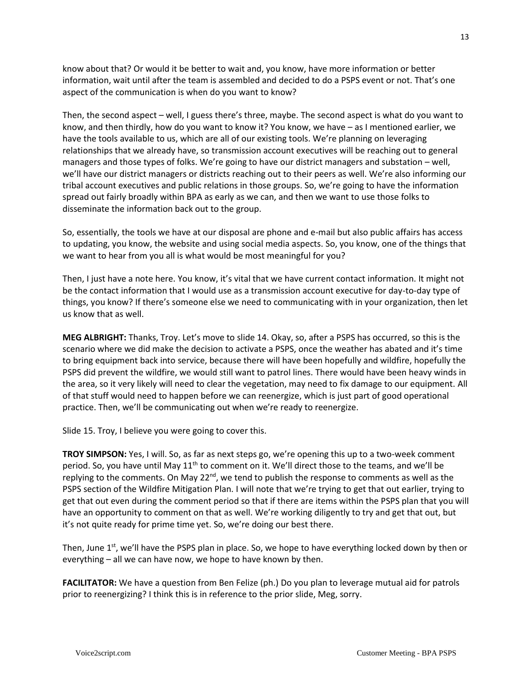know about that? Or would it be better to wait and, you know, have more information or better information, wait until after the team is assembled and decided to do a PSPS event or not. That's one aspect of the communication is when do you want to know?

Then, the second aspect – well, I guess there's three, maybe. The second aspect is what do you want to know, and then thirdly, how do you want to know it? You know, we have – as I mentioned earlier, we have the tools available to us, which are all of our existing tools. We're planning on leveraging relationships that we already have, so transmission account executives will be reaching out to general managers and those types of folks. We're going to have our district managers and substation – well, we'll have our district managers or districts reaching out to their peers as well. We're also informing our tribal account executives and public relations in those groups. So, we're going to have the information spread out fairly broadly within BPA as early as we can, and then we want to use those folks to disseminate the information back out to the group.

So, essentially, the tools we have at our disposal are phone and e-mail but also public affairs has access to updating, you know, the website and using social media aspects. So, you know, one of the things that we want to hear from you all is what would be most meaningful for you?

Then, I just have a note here. You know, it's vital that we have current contact information. It might not be the contact information that I would use as a transmission account executive for day-to-day type of things, you know? If there's someone else we need to communicating with in your organization, then let us know that as well.

**MEG ALBRIGHT:** Thanks, Troy. Let's move to slide 14. Okay, so, after a PSPS has occurred, so this is the scenario where we did make the decision to activate a PSPS, once the weather has abated and it's time to bring equipment back into service, because there will have been hopefully and wildfire, hopefully the PSPS did prevent the wildfire, we would still want to patrol lines. There would have been heavy winds in the area, so it very likely will need to clear the vegetation, may need to fix damage to our equipment. All of that stuff would need to happen before we can reenergize, which is just part of good operational practice. Then, we'll be communicating out when we're ready to reenergize.

Slide 15. Troy, I believe you were going to cover this.

**TROY SIMPSON:** Yes, I will. So, as far as next steps go, we're opening this up to a two-week comment period. So, you have until May 11<sup>th</sup> to comment on it. We'll direct those to the teams, and we'll be replying to the comments. On May 22<sup>nd</sup>, we tend to publish the response to comments as well as the PSPS section of the Wildfire Mitigation Plan. I will note that we're trying to get that out earlier, trying to get that out even during the comment period so that if there are items within the PSPS plan that you will have an opportunity to comment on that as well. We're working diligently to try and get that out, but it's not quite ready for prime time yet. So, we're doing our best there.

Then, June  $1<sup>st</sup>$ , we'll have the PSPS plan in place. So, we hope to have everything locked down by then or everything – all we can have now, we hope to have known by then.

**FACILITATOR:** We have a question from Ben Felize (ph.) Do you plan to leverage mutual aid for patrols prior to reenergizing? I think this is in reference to the prior slide, Meg, sorry.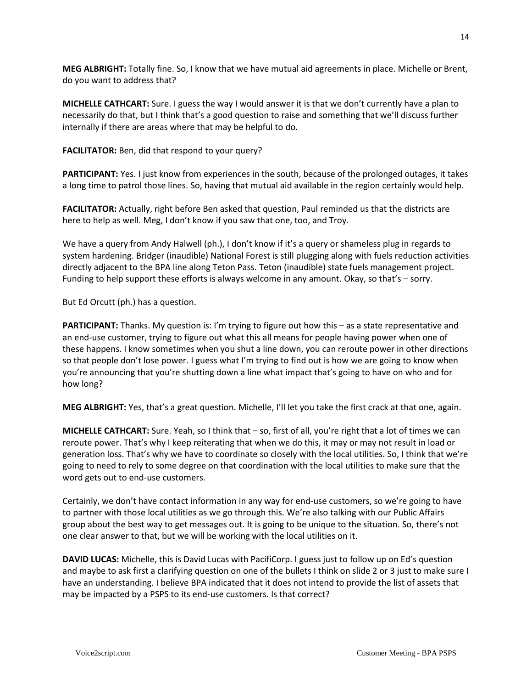**MEG ALBRIGHT:** Totally fine. So, I know that we have mutual aid agreements in place. Michelle or Brent, do you want to address that?

**MICHELLE CATHCART:** Sure. I guess the way I would answer it is that we don't currently have a plan to necessarily do that, but I think that's a good question to raise and something that we'll discuss further internally if there are areas where that may be helpful to do.

**FACILITATOR:** Ben, did that respond to your query?

**PARTICIPANT:** Yes. I just know from experiences in the south, because of the prolonged outages, it takes a long time to patrol those lines. So, having that mutual aid available in the region certainly would help.

**FACILITATOR:** Actually, right before Ben asked that question, Paul reminded us that the districts are here to help as well. Meg, I don't know if you saw that one, too, and Troy.

We have a query from Andy Halwell (ph.), I don't know if it's a query or shameless plug in regards to system hardening. Bridger (inaudible) National Forest is still plugging along with fuels reduction activities directly adjacent to the BPA line along Teton Pass. Teton (inaudible) state fuels management project. Funding to help support these efforts is always welcome in any amount. Okay, so that's – sorry.

But Ed Orcutt (ph.) has a question.

**PARTICIPANT:** Thanks. My question is: I'm trying to figure out how this – as a state representative and an end-use customer, trying to figure out what this all means for people having power when one of these happens. I know sometimes when you shut a line down, you can reroute power in other directions so that people don't lose power. I guess what I'm trying to find out is how we are going to know when you're announcing that you're shutting down a line what impact that's going to have on who and for how long?

**MEG ALBRIGHT:** Yes, that's a great question. Michelle, I'll let you take the first crack at that one, again.

**MICHELLE CATHCART:** Sure. Yeah, so I think that – so, first of all, you're right that a lot of times we can reroute power. That's why I keep reiterating that when we do this, it may or may not result in load or generation loss. That's why we have to coordinate so closely with the local utilities. So, I think that we're going to need to rely to some degree on that coordination with the local utilities to make sure that the word gets out to end-use customers.

Certainly, we don't have contact information in any way for end-use customers, so we're going to have to partner with those local utilities as we go through this. We're also talking with our Public Affairs group about the best way to get messages out. It is going to be unique to the situation. So, there's not one clear answer to that, but we will be working with the local utilities on it.

**DAVID LUCAS:** Michelle, this is David Lucas with PacifiCorp. I guess just to follow up on Ed's question and maybe to ask first a clarifying question on one of the bullets I think on slide 2 or 3 just to make sure I have an understanding. I believe BPA indicated that it does not intend to provide the list of assets that may be impacted by a PSPS to its end-use customers. Is that correct?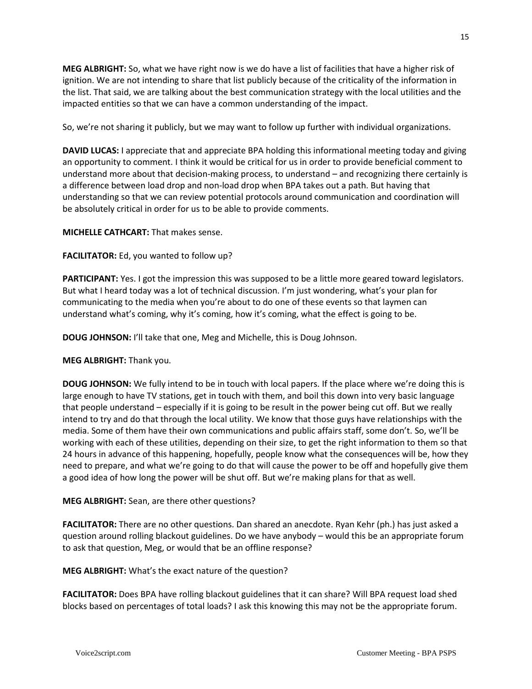**MEG ALBRIGHT:** So, what we have right now is we do have a list of facilities that have a higher risk of ignition. We are not intending to share that list publicly because of the criticality of the information in the list. That said, we are talking about the best communication strategy with the local utilities and the impacted entities so that we can have a common understanding of the impact.

So, we're not sharing it publicly, but we may want to follow up further with individual organizations.

**DAVID LUCAS:** I appreciate that and appreciate BPA holding this informational meeting today and giving an opportunity to comment. I think it would be critical for us in order to provide beneficial comment to understand more about that decision-making process, to understand – and recognizing there certainly is a difference between load drop and non-load drop when BPA takes out a path. But having that understanding so that we can review potential protocols around communication and coordination will be absolutely critical in order for us to be able to provide comments.

**MICHELLE CATHCART:** That makes sense.

**FACILITATOR:** Ed, you wanted to follow up?

**PARTICIPANT:** Yes. I got the impression this was supposed to be a little more geared toward legislators. But what I heard today was a lot of technical discussion. I'm just wondering, what's your plan for communicating to the media when you're about to do one of these events so that laymen can understand what's coming, why it's coming, how it's coming, what the effect is going to be.

**DOUG JOHNSON:** I'll take that one, Meg and Michelle, this is Doug Johnson.

**MEG ALBRIGHT:** Thank you.

**DOUG JOHNSON:** We fully intend to be in touch with local papers. If the place where we're doing this is large enough to have TV stations, get in touch with them, and boil this down into very basic language that people understand – especially if it is going to be result in the power being cut off. But we really intend to try and do that through the local utility. We know that those guys have relationships with the media. Some of them have their own communications and public affairs staff, some don't. So, we'll be working with each of these utilities, depending on their size, to get the right information to them so that 24 hours in advance of this happening, hopefully, people know what the consequences will be, how they need to prepare, and what we're going to do that will cause the power to be off and hopefully give them a good idea of how long the power will be shut off. But we're making plans for that as well.

**MEG ALBRIGHT:** Sean, are there other questions?

**FACILITATOR:** There are no other questions. Dan shared an anecdote. Ryan Kehr (ph.) has just asked a question around rolling blackout guidelines. Do we have anybody – would this be an appropriate forum to ask that question, Meg, or would that be an offline response?

**MEG ALBRIGHT:** What's the exact nature of the question?

**FACILITATOR:** Does BPA have rolling blackout guidelines that it can share? Will BPA request load shed blocks based on percentages of total loads? I ask this knowing this may not be the appropriate forum.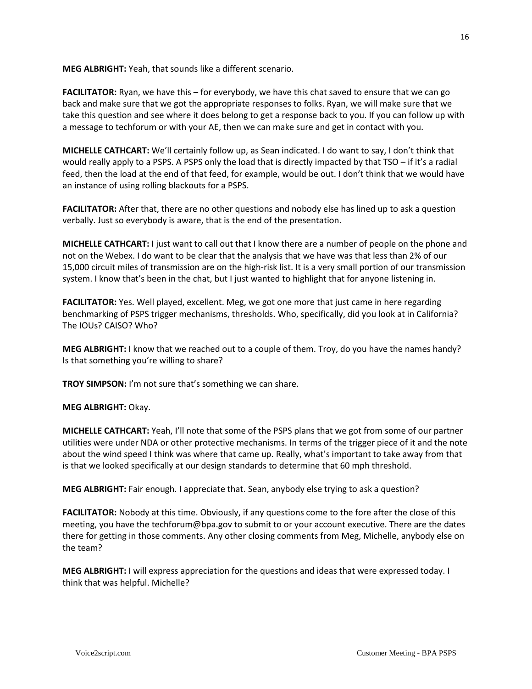**MEG ALBRIGHT:** Yeah, that sounds like a different scenario.

**FACILITATOR:** Ryan, we have this – for everybody, we have this chat saved to ensure that we can go back and make sure that we got the appropriate responses to folks. Ryan, we will make sure that we take this question and see where it does belong to get a response back to you. If you can follow up with a message to techforum or with your AE, then we can make sure and get in contact with you.

**MICHELLE CATHCART:** We'll certainly follow up, as Sean indicated. I do want to say, I don't think that would really apply to a PSPS. A PSPS only the load that is directly impacted by that TSO – if it's a radial feed, then the load at the end of that feed, for example, would be out. I don't think that we would have an instance of using rolling blackouts for a PSPS.

**FACILITATOR:** After that, there are no other questions and nobody else has lined up to ask a question verbally. Just so everybody is aware, that is the end of the presentation.

**MICHELLE CATHCART:** I just want to call out that I know there are a number of people on the phone and not on the Webex. I do want to be clear that the analysis that we have was that less than 2% of our 15,000 circuit miles of transmission are on the high-risk list. It is a very small portion of our transmission system. I know that's been in the chat, but I just wanted to highlight that for anyone listening in.

**FACILITATOR:** Yes. Well played, excellent. Meg, we got one more that just came in here regarding benchmarking of PSPS trigger mechanisms, thresholds. Who, specifically, did you look at in California? The IOUs? CAISO? Who?

**MEG ALBRIGHT:** I know that we reached out to a couple of them. Troy, do you have the names handy? Is that something you're willing to share?

**TROY SIMPSON:** I'm not sure that's something we can share.

## **MEG ALBRIGHT:** Okay.

**MICHELLE CATHCART:** Yeah, I'll note that some of the PSPS plans that we got from some of our partner utilities were under NDA or other protective mechanisms. In terms of the trigger piece of it and the note about the wind speed I think was where that came up. Really, what's important to take away from that is that we looked specifically at our design standards to determine that 60 mph threshold.

**MEG ALBRIGHT:** Fair enough. I appreciate that. Sean, anybody else trying to ask a question?

**FACILITATOR:** Nobody at this time. Obviously, if any questions come to the fore after the close of this meeting, you have the techforum@bpa.gov to submit to or your account executive. There are the dates there for getting in those comments. Any other closing comments from Meg, Michelle, anybody else on the team?

**MEG ALBRIGHT:** I will express appreciation for the questions and ideas that were expressed today. I think that was helpful. Michelle?